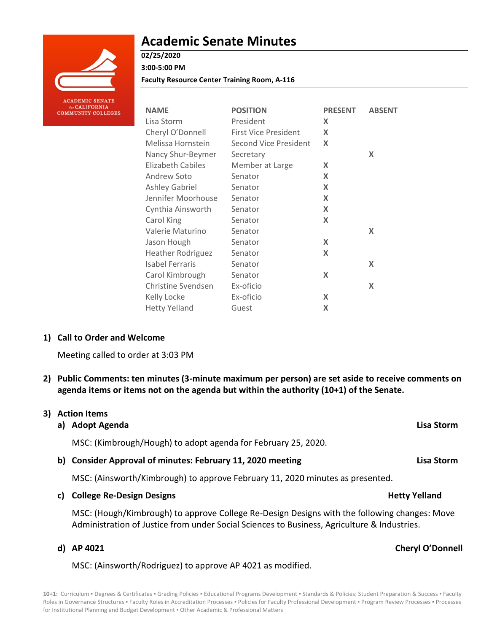

# **Academic Senate Minutes**

# **02/25/2020**

**3:00-5:00 PM**

**Faculty Resource Center Training Room, A-116**

| <b>NAME</b>              | <b>POSITION</b>              | <b>PRESENT</b> | <b>ABSENT</b> |
|--------------------------|------------------------------|----------------|---------------|
| Lisa Storm               | President                    | X              |               |
| Cheryl O'Donnell         | <b>First Vice President</b>  | X              |               |
| Melissa Hornstein        | <b>Second Vice President</b> | X              |               |
| Nancy Shur-Beymer        | Secretary                    |                | X             |
| Elizabeth Cabiles        | Member at Large              | X              |               |
| Andrew Soto              | Senator                      | X              |               |
| Ashley Gabriel           | Senator                      | X              |               |
| Jennifer Moorhouse       | Senator                      | X              |               |
| Cynthia Ainsworth        | Senator                      | X              |               |
| Carol King               | Senator                      | X              |               |
| Valerie Maturino         | Senator                      |                | X             |
| Jason Hough              | Senator                      | X              |               |
| <b>Heather Rodriguez</b> | Senator                      | X              |               |
| Isabel Ferraris          | Senator                      |                | X             |
| Carol Kimbrough          | Senator                      | X              |               |
| Christine Svendsen       | Ex-oficio                    |                | X             |
| Kelly Locke              | Ex-oficio                    | X              |               |
| <b>Hetty Yelland</b>     | Guest                        | X              |               |

#### **1) Call to Order and Welcome**

Meeting called to order at 3:03 PM

**2) Public Comments: ten minutes (3-minute maximum per person) are set aside to receive comments on agenda items or items not on the agenda but within the authority (10+1) of the Senate.**

#### **3) Action Items**

**a) Adopt Agenda Lisa Storm**

MSC: (Kimbrough/Hough) to adopt agenda for February 25, 2020.

**b) Consider Approval of minutes: February 11, 2020 meeting Lisa Storm**

MSC: (Ainsworth/Kimbrough) to approve February 11, 2020 minutes as presented.

**c) College Re-Design Designs Hetty Yelland**

MSC: (Hough/Kimbrough) to approve College Re-Design Designs with the following changes: Move Administration of Justice from under Social Sciences to Business, Agriculture & Industries.

MSC: (Ainsworth/Rodriguez) to approve AP 4021 as modified.

#### **d) AP 4021 Cheryl O'Donnell**

10+1: Curriculum · Degrees & Certificates · Grading Policies · Educational Programs Development · Standards & Policies: Student Preparation & Success · Faculty Roles in Governance Structures . Faculty Roles in Accreditation Processes . Policies for Faculty Professional Development . Program Review Processes . Processes for Institutional Planning and Budget Development . Other Academic & Professional Matters